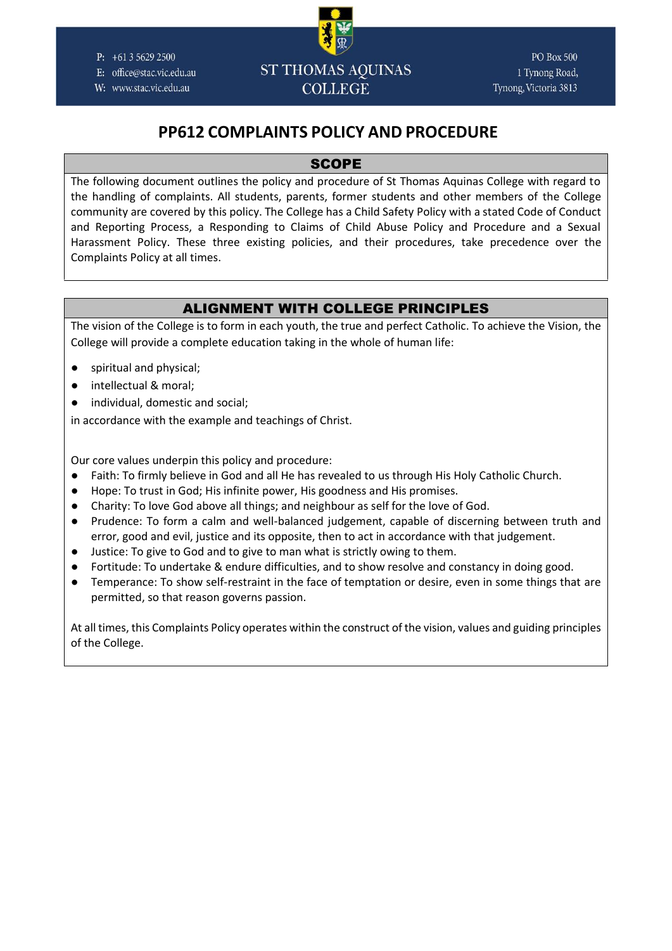

E: office@stac.vic.edu.au

W: www.stac.vic.edu.au

# **ST THOMAS AOUINAS COLLEGE**

**PO Box 500** 1 Tynong Road, Tynong, Victoria 3813

# **PP612 COMPLAINTS POLICY AND PROCEDURE**

# **SCOPE**

The following document outlines the policy and procedure of St Thomas Aquinas College with regard to the handling of complaints. All students, parents, former students and other members of the College community are covered by this policy. The College has a Child Safety Policy with a stated Code of Conduct and Reporting Process, a Responding to Claims of Child Abuse Policy and Procedure and a Sexual Harassment Policy. These three existing policies, and their procedures, take precedence over the Complaints Policy at all times.

# ALIGNMENT WITH COLLEGE PRINCIPLES

The vision of the College is to form in each youth, the true and perfect Catholic. To achieve the Vision, the College will provide a complete education taking in the whole of human life:

- spiritual and physical;
- intellectual & moral;
- individual, domestic and social;

in accordance with the example and teachings of Christ.

Our core values underpin this policy and procedure:

- Faith: To firmly believe in God and all He has revealed to us through His Holy Catholic Church.
- Hope: To trust in God; His infinite power, His goodness and His promises.
- Charity: To love God above all things; and neighbour as self for the love of God.
- Prudence: To form a calm and well-balanced judgement, capable of discerning between truth and error, good and evil, justice and its opposite, then to act in accordance with that judgement.
- Justice: To give to God and to give to man what is strictly owing to them.
- Fortitude: To undertake & endure difficulties, and to show resolve and constancy in doing good.
- Temperance: To show self-restraint in the face of temptation or desire, even in some things that are permitted, so that reason governs passion.

At all times, this Complaints Policy operates within the construct of the vision, values and guiding principles of the College.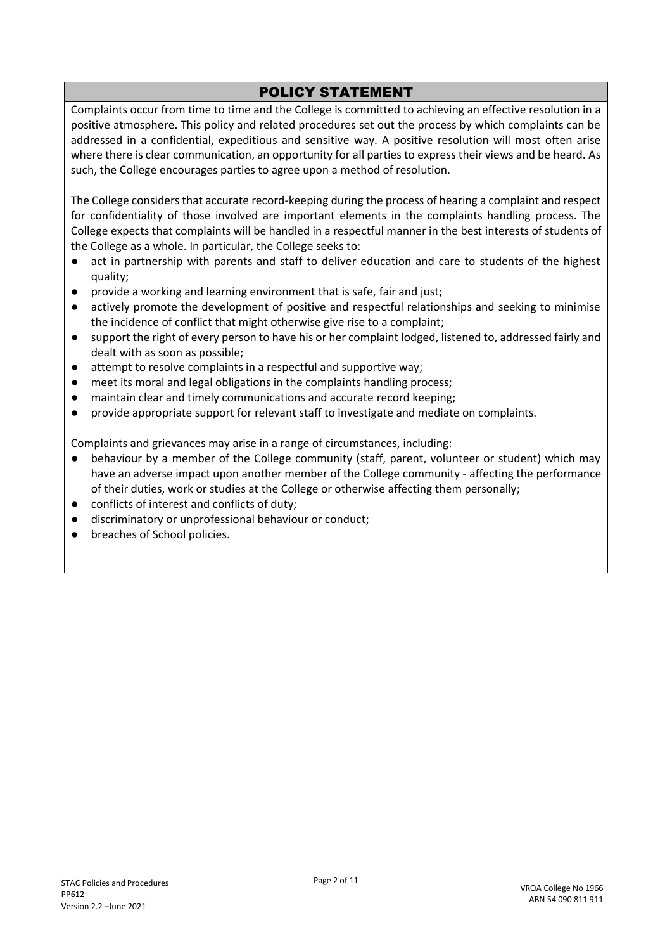# POLICY STATEMENT

Complaints occur from time to time and the College is committed to achieving an effective resolution in a positive atmosphere. This policy and related procedures set out the process by which complaints can be addressed in a confidential, expeditious and sensitive way. A positive resolution will most often arise where there is clear communication, an opportunity for all parties to express their views and be heard. As such, the College encourages parties to agree upon a method of resolution.

The College considers that accurate record-keeping during the process of hearing a complaint and respect for confidentiality of those involved are important elements in the complaints handling process. The College expects that complaints will be handled in a respectful manner in the best interests of students of the College as a whole. In particular, the College seeks to:

- act in partnership with parents and staff to deliver education and care to students of the highest quality;
- provide a working and learning environment that is safe, fair and just;
- actively promote the development of positive and respectful relationships and seeking to minimise the incidence of conflict that might otherwise give rise to a complaint;
- support the right of every person to have his or her complaint lodged, listened to, addressed fairly and dealt with as soon as possible;
- attempt to resolve complaints in a respectful and supportive way;
- meet its moral and legal obligations in the complaints handling process;
- maintain clear and timely communications and accurate record keeping;
- provide appropriate support for relevant staff to investigate and mediate on complaints.

Complaints and grievances may arise in a range of circumstances, including:

- behaviour by a member of the College community (staff, parent, volunteer or student) which may have an adverse impact upon another member of the College community - affecting the performance of their duties, work or studies at the College or otherwise affecting them personally;
- conflicts of interest and conflicts of duty;
- discriminatory or unprofessional behaviour or conduct;
- breaches of School policies.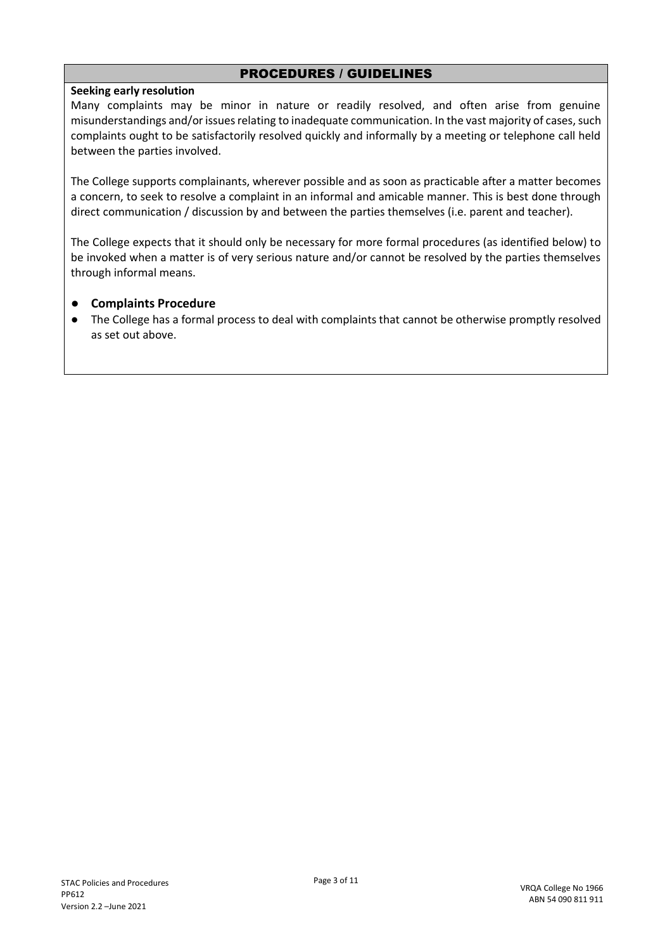# PROCEDURES / GUIDELINES

#### **Seeking early resolution**

Many complaints may be minor in nature or readily resolved, and often arise from genuine misunderstandings and/or issues relating to inadequate communication. In the vast majority of cases, such complaints ought to be satisfactorily resolved quickly and informally by a meeting or telephone call held between the parties involved.

The College supports complainants, wherever possible and as soon as practicable after a matter becomes a concern, to seek to resolve a complaint in an informal and amicable manner. This is best done through direct communication / discussion by and between the parties themselves (i.e. parent and teacher).

The College expects that it should only be necessary for more formal procedures (as identified below) to be invoked when a matter is of very serious nature and/or cannot be resolved by the parties themselves through informal means.

#### ● **Complaints Procedure**

● The College has a formal process to deal with complaints that cannot be otherwise promptly resolved as set out above.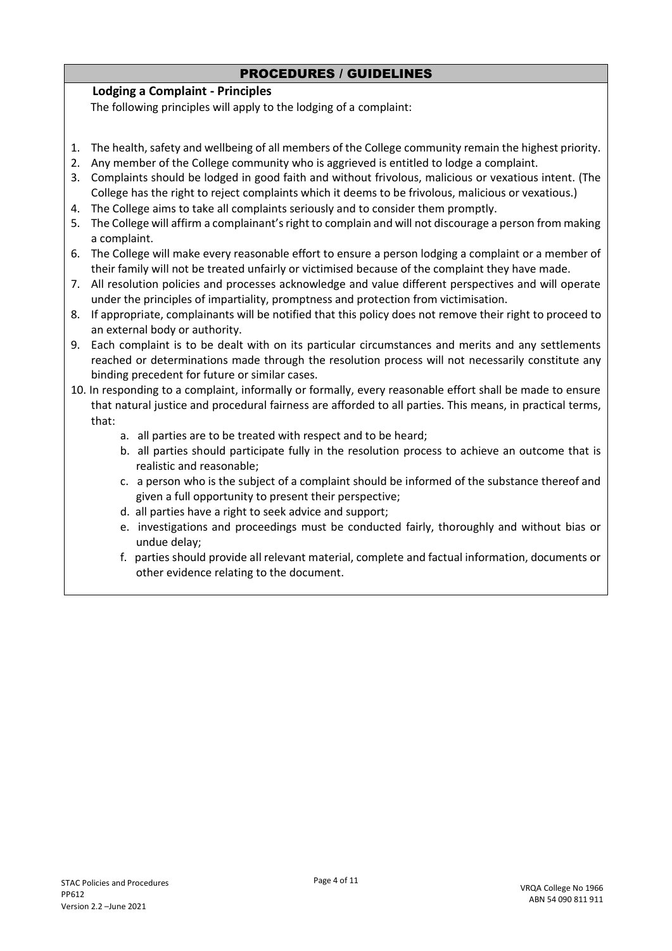# PROCEDURES / GUIDELINES

# **Lodging a Complaint - Principles**

The following principles will apply to the lodging of a complaint:

- 1. The health, safety and wellbeing of all members of the College community remain the highest priority.
- 2. Any member of the College community who is aggrieved is entitled to lodge a complaint.
- 3. Complaints should be lodged in good faith and without frivolous, malicious or vexatious intent. (The College has the right to reject complaints which it deems to be frivolous, malicious or vexatious.)
- 4. The College aims to take all complaints seriously and to consider them promptly.
- 5. The College will affirm a complainant's right to complain and will not discourage a person from making a complaint.
- 6. The College will make every reasonable effort to ensure a person lodging a complaint or a member of their family will not be treated unfairly or victimised because of the complaint they have made.
- 7. All resolution policies and processes acknowledge and value different perspectives and will operate under the principles of impartiality, promptness and protection from victimisation.
- 8. If appropriate, complainants will be notified that this policy does not remove their right to proceed to an external body or authority.
- 9. Each complaint is to be dealt with on its particular circumstances and merits and any settlements reached or determinations made through the resolution process will not necessarily constitute any binding precedent for future or similar cases.
- 10. In responding to a complaint, informally or formally, every reasonable effort shall be made to ensure that natural justice and procedural fairness are afforded to all parties. This means, in practical terms, that:
	- a. all parties are to be treated with respect and to be heard;
	- b. all parties should participate fully in the resolution process to achieve an outcome that is realistic and reasonable;
	- c. a person who is the subject of a complaint should be informed of the substance thereof and given a full opportunity to present their perspective;
	- d. all parties have a right to seek advice and support;
	- e. investigations and proceedings must be conducted fairly, thoroughly and without bias or undue delay;
	- f. parties should provide all relevant material, complete and factual information, documents or other evidence relating to the document.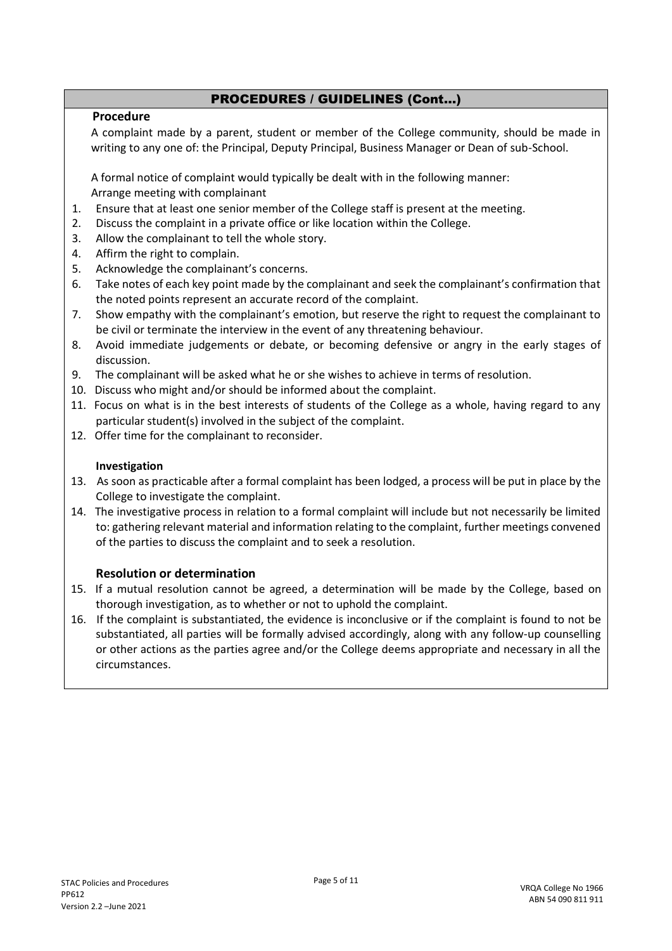# **Procedure**

A complaint made by a parent, student or member of the College community, should be made in writing to any one of: the Principal, Deputy Principal, Business Manager or Dean of sub-School.

A formal notice of complaint would typically be dealt with in the following manner: Arrange meeting with complainant

- 1. Ensure that at least one senior member of the College staff is present at the meeting.
- 2. Discuss the complaint in a private office or like location within the College.
- 3. Allow the complainant to tell the whole story.
- 4. Affirm the right to complain.
- 5. Acknowledge the complainant's concerns.
- 6. Take notes of each key point made by the complainant and seek the complainant's confirmation that the noted points represent an accurate record of the complaint.
- 7. Show empathy with the complainant's emotion, but reserve the right to request the complainant to be civil or terminate the interview in the event of any threatening behaviour.
- 8. Avoid immediate judgements or debate, or becoming defensive or angry in the early stages of discussion.
- 9. The complainant will be asked what he or she wishes to achieve in terms of resolution.
- 10. Discuss who might and/or should be informed about the complaint.
- 11. Focus on what is in the best interests of students of the College as a whole, having regard to any particular student(s) involved in the subject of the complaint.
- 12. Offer time for the complainant to reconsider.

#### **Investigation**

- 13. As soon as practicable after a formal complaint has been lodged, a process will be put in place by the College to investigate the complaint.
- 14. The investigative process in relation to a formal complaint will include but not necessarily be limited to: gathering relevant material and information relating to the complaint, further meetings convened of the parties to discuss the complaint and to seek a resolution.

#### **Resolution or determination**

- 15. If a mutual resolution cannot be agreed, a determination will be made by the College, based on thorough investigation, as to whether or not to uphold the complaint.
- 16. If the complaint is substantiated, the evidence is inconclusive or if the complaint is found to not be substantiated, all parties will be formally advised accordingly, along with any follow-up counselling or other actions as the parties agree and/or the College deems appropriate and necessary in all the circumstances.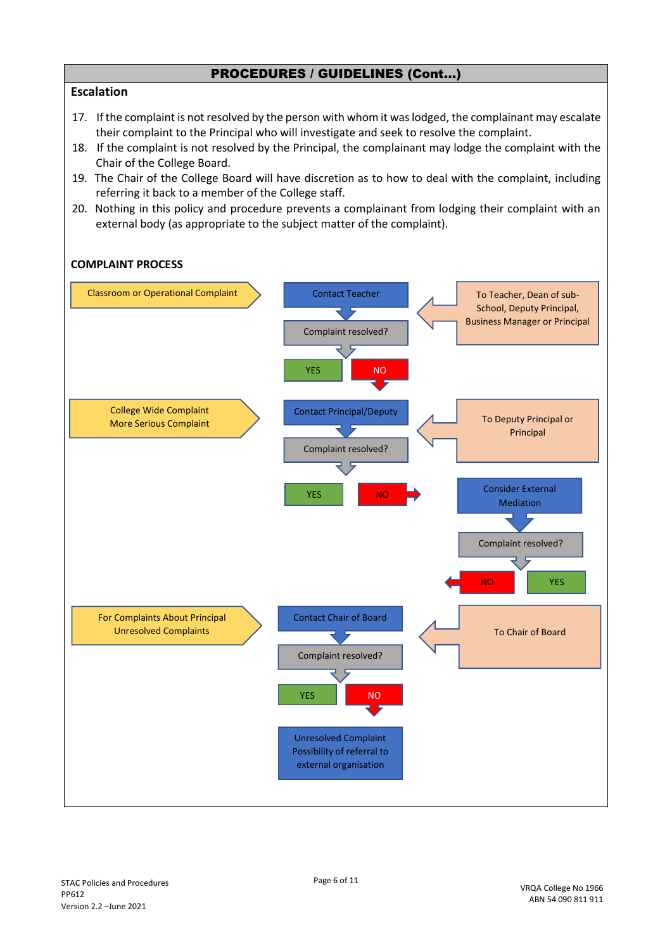#### **Escalation**

- 17. If the complaint is not resolved by the person with whom it was lodged, the complainant may escalate their complaint to the Principal who will investigate and seek to resolve the complaint.
- 18. If the complaint is not resolved by the Principal, the complainant may lodge the complaint with the Chair of the College Board.
- 19. The Chair of the College Board will have discretion as to how to deal with the complaint, including referring it back to a member of the College staff.
- 20. Nothing in this policy and procedure prevents a complainant from lodging their complaint with an external body (as appropriate to the subject matter of the complaint).

#### **COMPLAINT PROCESS**

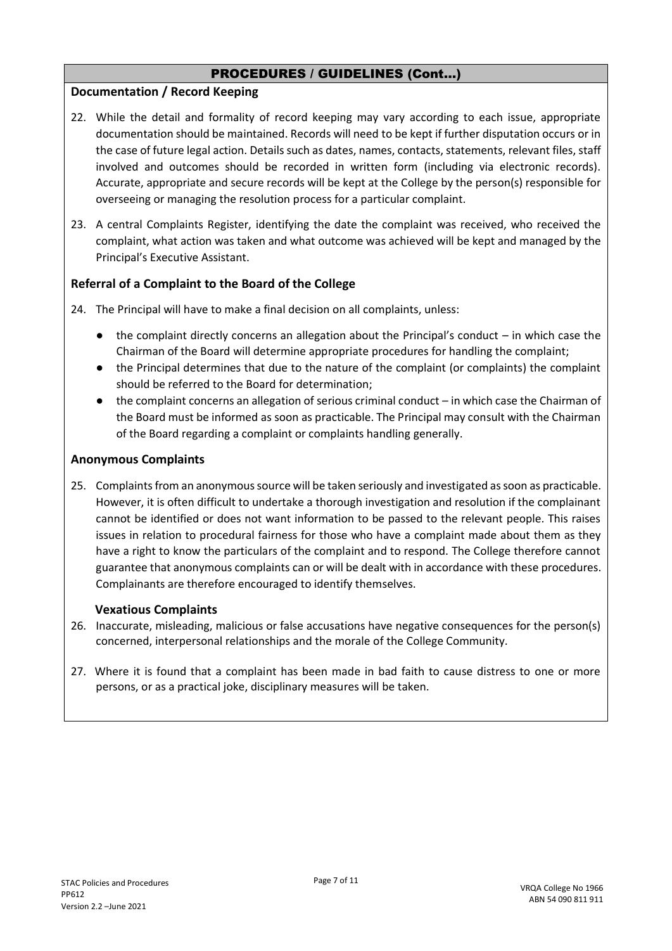# **Documentation / Record Keeping**

- 22. While the detail and formality of record keeping may vary according to each issue, appropriate documentation should be maintained. Records will need to be kept if further disputation occurs or in the case of future legal action. Details such as dates, names, contacts, statements, relevant files, staff involved and outcomes should be recorded in written form (including via electronic records). Accurate, appropriate and secure records will be kept at the College by the person(s) responsible for overseeing or managing the resolution process for a particular complaint.
- 23. A central Complaints Register, identifying the date the complaint was received, who received the complaint, what action was taken and what outcome was achieved will be kept and managed by the Principal's Executive Assistant.

# **Referral of a Complaint to the Board of the College**

- 24. The Principal will have to make a final decision on all complaints, unless:
	- $\bullet$  the complaint directly concerns an allegation about the Principal's conduct in which case the Chairman of the Board will determine appropriate procedures for handling the complaint;
	- the Principal determines that due to the nature of the complaint (or complaints) the complaint should be referred to the Board for determination;
	- the complaint concerns an allegation of serious criminal conduct in which case the Chairman of the Board must be informed as soon as practicable. The Principal may consult with the Chairman of the Board regarding a complaint or complaints handling generally.

#### **Anonymous Complaints**

25. Complaints from an anonymous source will be taken seriously and investigated as soon as practicable. However, it is often difficult to undertake a thorough investigation and resolution if the complainant cannot be identified or does not want information to be passed to the relevant people. This raises issues in relation to procedural fairness for those who have a complaint made about them as they have a right to know the particulars of the complaint and to respond. The College therefore cannot guarantee that anonymous complaints can or will be dealt with in accordance with these procedures. Complainants are therefore encouraged to identify themselves.

#### **Vexatious Complaints**

- 26. Inaccurate, misleading, malicious or false accusations have negative consequences for the person(s) concerned, interpersonal relationships and the morale of the College Community.
- 27. Where it is found that a complaint has been made in bad faith to cause distress to one or more persons, or as a practical joke, disciplinary measures will be taken.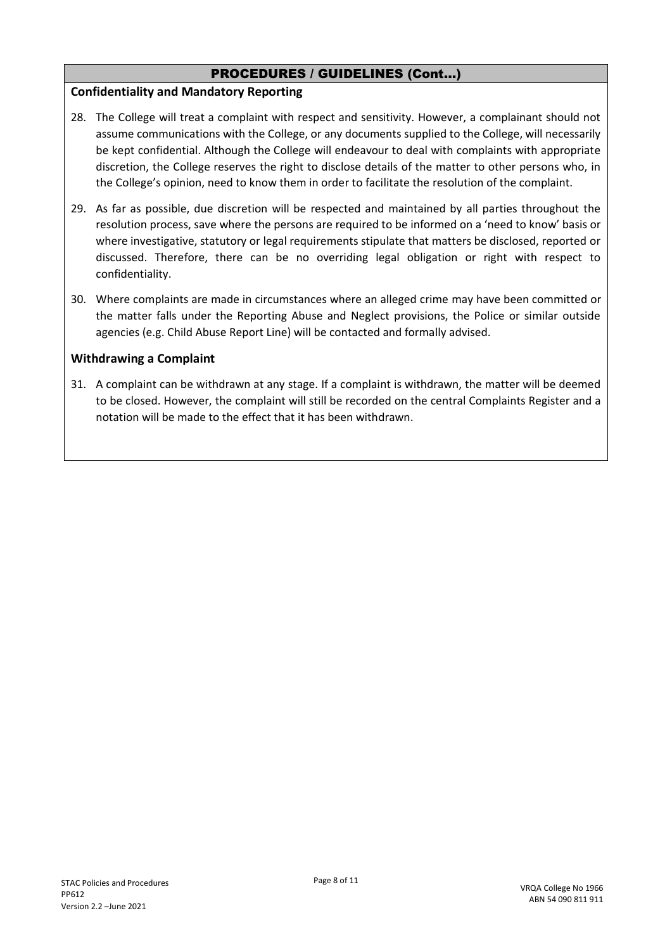#### **Confidentiality and Mandatory Reporting**

- 28. The College will treat a complaint with respect and sensitivity. However, a complainant should not assume communications with the College, or any documents supplied to the College, will necessarily be kept confidential. Although the College will endeavour to deal with complaints with appropriate discretion, the College reserves the right to disclose details of the matter to other persons who, in the College's opinion, need to know them in order to facilitate the resolution of the complaint.
- 29. As far as possible, due discretion will be respected and maintained by all parties throughout the resolution process, save where the persons are required to be informed on a 'need to know' basis or where investigative, statutory or legal requirements stipulate that matters be disclosed, reported or discussed. Therefore, there can be no overriding legal obligation or right with respect to confidentiality.
- 30. Where complaints are made in circumstances where an alleged crime may have been committed or the matter falls under the Reporting Abuse and Neglect provisions, the Police or similar outside agencies (e.g. Child Abuse Report Line) will be contacted and formally advised.

# **Withdrawing a Complaint**

31. A complaint can be withdrawn at any stage. If a complaint is withdrawn, the matter will be deemed to be closed. However, the complaint will still be recorded on the central Complaints Register and a notation will be made to the effect that it has been withdrawn.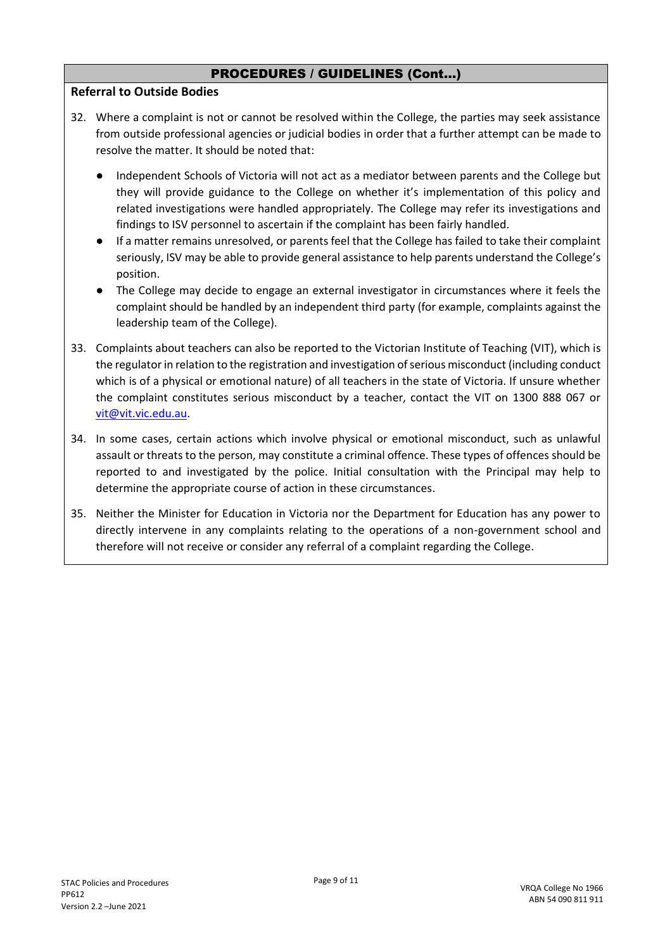#### **Referral to Outside Bodies**

- 32. Where a complaint is not or cannot be resolved within the College, the parties may seek assistance from outside professional agencies or judicial bodies in order that a further attempt can be made to resolve the matter. It should be noted that:
	- Independent Schools of Victoria will not act as a mediator between parents and the College but they will provide guidance to the College on whether it's implementation of this policy and related investigations were handled appropriately. The College may refer its investigations and findings to ISV personnel to ascertain if the complaint has been fairly handled.
	- If a matter remains unresolved, or parents feel that the College has failed to take their complaint seriously, ISV may be able to provide general assistance to help parents understand the College's position.
	- The College may decide to engage an external investigator in circumstances where it feels the complaint should be handled by an independent third party (for example, complaints against the leadership team of the College).
- 33. Complaints about teachers can also be reported to the Victorian Institute of Teaching (VIT), which is the regulator in relation to the registration and investigation of serious misconduct (including conduct which is of a physical or emotional nature) of all teachers in the state of Victoria. If unsure whether the complaint constitutes serious misconduct by a teacher, contact the VIT on 1300 888 067 or [vit@vit.vic.edu.au.](mailto:vit@vit.vic.edu.au)
- 34. In some cases, certain actions which involve physical or emotional misconduct, such as unlawful assault or threats to the person, may constitute a criminal offence. These types of offences should be reported to and investigated by the police. Initial consultation with the Principal may help to determine the appropriate course of action in these circumstances.
- 35. Neither the Minister for Education in Victoria nor the Department for Education has any power to directly intervene in any complaints relating to the operations of a non-government school and therefore will not receive or consider any referral of a complaint regarding the College.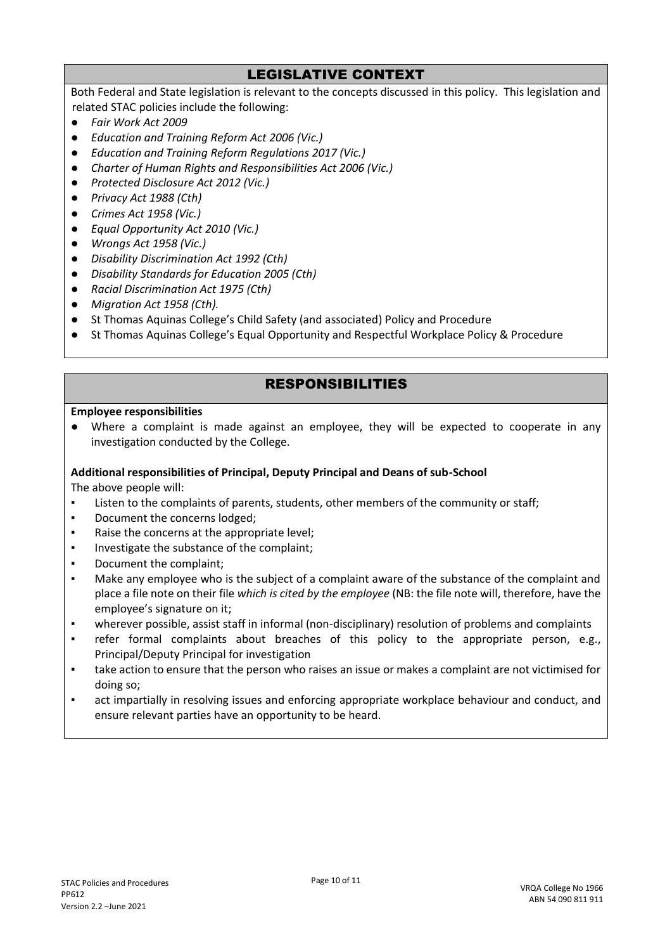# LEGISLATIVE CONTEXT

Both Federal and State legislation is relevant to the concepts discussed in this policy. This legislation and related STAC policies include the following:

- *Fair Work Act 2009*
- *Education and Training Reform Act 2006 (Vic.)*
- *Education and Training Reform Regulations 2017 (Vic.)*
- *Charter of Human Rights and Responsibilities Act 2006 (Vic.)*
- *Protected Disclosure Act 2012 (Vic.)*
- *Privacy Act 1988 (Cth)*
- *Crimes Act 1958 (Vic.)*
- *Equal Opportunity Act 2010 (Vic.)*
- *Wrongs Act 1958 (Vic.)*
- *Disability Discrimination Act 1992 (Cth)*
- *Disability Standards for Education 2005 (Cth)*
- *Racial Discrimination Act 1975 (Cth)*
- *Migration Act 1958 (Cth).*
- St Thomas Aquinas College's Child Safety (and associated) Policy and Procedure
- St Thomas Aquinas College's Equal Opportunity and Respectful Workplace Policy & Procedure

# RESPONSIBILITIES

#### **Employee responsibilities**

● Where a complaint is made against an employee, they will be expected to cooperate in any investigation conducted by the College.

#### **Additional responsibilities of Principal, Deputy Principal and Deans of sub-School**

The above people will:

- Listen to the complaints of parents, students, other members of the community or staff;
- Document the concerns lodged;
- Raise the concerns at the appropriate level;
- Investigate the substance of the complaint;
- Document the complaint;
- Make any employee who is the subject of a complaint aware of the substance of the complaint and place a file note on their file *which is cited by the employee* (NB: the file note will, therefore, have the employee's signature on it;
- wherever possible, assist staff in informal (non-disciplinary) resolution of problems and complaints
- refer formal complaints about breaches of this policy to the appropriate person, e.g., Principal/Deputy Principal for investigation
- take action to ensure that the person who raises an issue or makes a complaint are not victimised for doing so;
- act impartially in resolving issues and enforcing appropriate workplace behaviour and conduct, and ensure relevant parties have an opportunity to be heard.